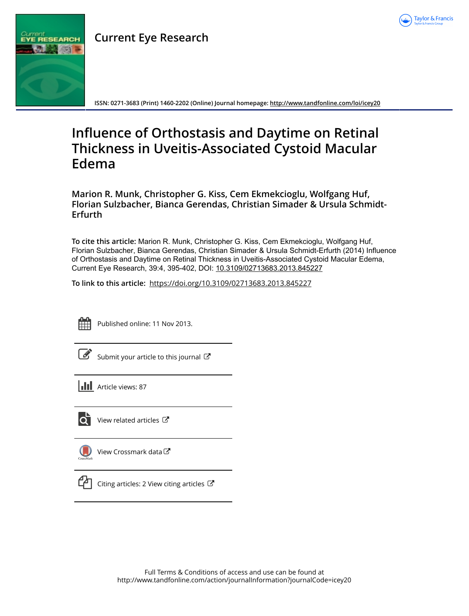

## **Current Eye Research**



**ISSN: 0271-3683 (Print) 1460-2202 (Online) Journal homepage:<http://www.tandfonline.com/loi/icey20>**

# **Influence of Orthostasis and Daytime on Retinal Thickness in Uveitis-Associated Cystoid Macular Edema**

**Marion R. Munk, Christopher G. Kiss, Cem Ekmekcioglu, Wolfgang Huf, Florian Sulzbacher, Bianca Gerendas, Christian Simader & Ursula Schmidt-Erfurth**

**To cite this article:** Marion R. Munk, Christopher G. Kiss, Cem Ekmekcioglu, Wolfgang Huf, Florian Sulzbacher, Bianca Gerendas, Christian Simader & Ursula Schmidt-Erfurth (2014) Influence of Orthostasis and Daytime on Retinal Thickness in Uveitis-Associated Cystoid Macular Edema, Current Eye Research, 39:4, 395-402, DOI: [10.3109/02713683.2013.845227](http://www.tandfonline.com/action/showCitFormats?doi=10.3109/02713683.2013.845227)

**To link to this article:** <https://doi.org/10.3109/02713683.2013.845227>



Published online: 11 Nov 2013.

| ۰. |
|----|
|    |

[Submit your article to this journal](http://www.tandfonline.com/action/authorSubmission?journalCode=icey20&show=instructions)  $\mathbb{Z}$ 

**III** Article views: 87



 $\overrightarrow{Q}$  [View related articles](http://www.tandfonline.com/doi/mlt/10.3109/02713683.2013.845227)  $\overrightarrow{C}$ 

|           | $\bigcirc$ View Crossmark data $\sigma$ |
|-----------|-----------------------------------------|
| CrossMark |                                         |



 $\Box$  [Citing articles: 2 View citing articles](http://www.tandfonline.com/doi/citedby/10.3109/02713683.2013.845227#tabModule)  $\Box$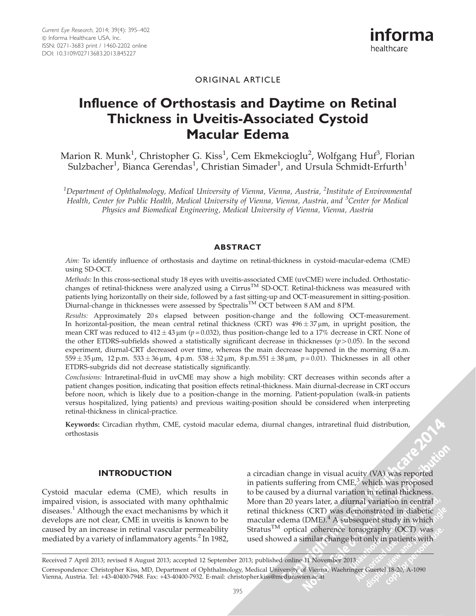## ORIGINAL ARTICLE

## Influence of Orthostasis and Daytime on Retinal Thickness in Uveitis-Associated Cystoid Macular Edema

Marion R. Munk<sup>1</sup>, Christopher G. Kiss<sup>1</sup>, Cem Ekmekcioglu<sup>2</sup>, Wolfgang Huf<sup>3</sup>, Florian Sulzbacher<sup>1</sup>, Bianca Gerendas<sup>1</sup>, Christian Simader<sup>1</sup>, and Ursula Schmidt-Erfurth<sup>1</sup>

 $^{\rm 1}$ Department of Ophthalmology, Medical University of Vienna, Vienna, Austria,  $^{\rm 2}$ Institute of Environmental Health, Center for Public Health, Medical University of Vienna, Vienna, Austria, and <sup>3</sup>Center for Medical Physics and Biomedical Engineering, Medical University of Vienna, Vienna, Austria

#### ABSTRACT

Aim: To identify influence of orthostasis and daytime on retinal-thickness in cystoid-macular-edema (CME) using SD-OCT.

Methods: In this cross-sectional study 18 eyes with uveitis-associated CME (uvCME) were included. Orthostaticchanges of retinal-thickness were analyzed using a Cirrus<sup>TM</sup> SD-OCT. Retinal-thickness was measured with patients lying horizontally on their side, followed by a fast sitting-up and OCT-measurement in sitting-position. Diurnal-change in thicknesses were assessed by Spectralis<sup>TM</sup> OCT between 8 AM and 8 PM.

Results: Approximately 20s elapsed between position-change and the following OCT-measurement. In horizontal-position, the mean central retinal thickness (CRT) was  $496 \pm 37 \,\rm \mu m$ , in upright position, the mean CRT was reduced to 412  $\pm$  43 µm ( $p$  = 0.032), thus position-change led to a 17% decrease in CRT. None of the other ETDRS-subfields showed a statistically significant decrease in thicknesses ( $p > 0.05$ ). In the second experiment, diurnal-CRT decreased over time, whereas the main decrease happened in the morning (8 a.m.  $559 \pm 35 \,\mu$ m,  $12 \,\text{p.m.}$   $533 \pm 36 \,\mu$ m,  $4 \,\text{p.m.}$   $538 \pm 32 \,\mu$ m,  $8 \,\text{p.m.}$  $551 \pm 38 \,\mu$ m,  $p = 0.01$ ). Thicknesses in all other ETDRS-subgrids did not decrease statistically significantly.

Conclusions: Intraretinal-fluid in uvCME may show a high mobility: CRT decreases within seconds after a patient changes position, indicating that position effects retinal-thickness. Main diurnal-decrease in CRT occurs before noon, which is likely due to a position-change in the morning. Patient-population (walk-in patients versus hospitalized, lying patients) and previous waiting-position should be considered when interpreting retinal-thickness in clinical-practice.

Keywords: Circadian rhythm, CME, cystoid macular edema, diurnal changes, intraretinal fluid distribution, orthostasis

#### INTRODUCTION

Cystoid macular edema (CME), which results in impaired vision, is associated with many ophthalmic diseases. $<sup>1</sup>$  $<sup>1</sup>$  $<sup>1</sup>$  Although the exact mechanisms by which it</sup> develops are not clear, CME in uveitis is known to be caused by an increase in retinal vascular permeability mediated by a variety of inflammatory agents. $2$  In 1982, a circadian change in visual acuity (VA) was reported in patients suffering from  $CME<sub>i</sub><sup>3</sup>$  $CME<sub>i</sub><sup>3</sup>$  $CME<sub>i</sub><sup>3</sup>$  which was proposed to be caused by a diurnal variation in retinal thickness. More than 20 years later, a diurnal variation in central retinal thickness (CRT) was demonstrated in diabetic macular edema (DME). $4$  A subsequent study in which Stratus<sup>TM</sup> optical coherence tomography (OCT) was used showed a similar change but only in patients with

**2014** 

Correspondence: Christopher Kiss, MD, Department of Ophthalmology, Medical University of Vienna, Waehringer Guertel 18-20, A-1090 Vienna, Austria. Tel: +43-40400-7948. Fax: +43-40400-7932. E-mail: christopher.kiss@meduniwien.ac.at Received 7 April 2013; revised 8 August 2013; accepted 12 September 2013; published online 11 November 2013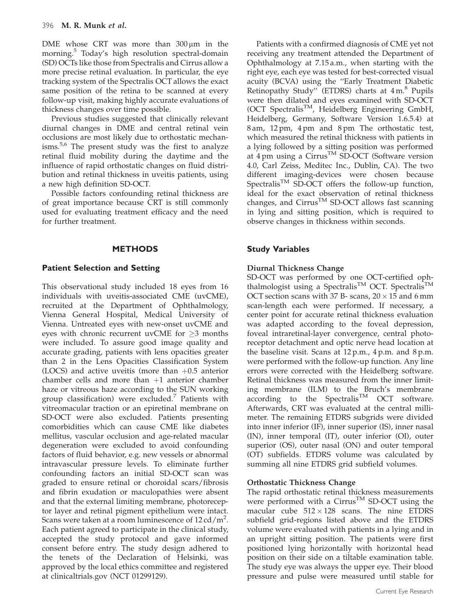DME whose CRT was more than  $300 \,\mu m$  in the morning.<sup>[5](#page-7-0)</sup> Today's high resolution spectral-domain (SD) OCTs like those from Spectralis and Cirrus allow a more precise retinal evaluation. In particular, the eye tracking system of the Spectralis OCT allows the exact same position of the retina to be scanned at every follow-up visit, making highly accurate evaluations of thickness changes over time possible.

Previous studies suggested that clinically relevant diurnal changes in DME and central retinal vein occlusions are most likely due to orthostatic mechan-isms.<sup>[5,6](#page-7-0)</sup> The present study was the first to analyze retinal fluid mobility during the daytime and the influence of rapid orthostatic changes on fluid distribution and retinal thickness in uveitis patients, using a new high definition SD-OCT.

Possible factors confounding retinal thickness are of great importance because CRT is still commonly used for evaluating treatment efficacy and the need for further treatment.

## **METHODS**

## Patient Selection and Setting

This observational study included 18 eyes from 16 individuals with uveitis-associated CME (uvCME), recruited at the Department of Ophthalmology, Vienna General Hospital, Medical University of Vienna. Untreated eyes with new-onset uvCME and eyes with chronic recurrent uvCME for  $\geq$ 3 months were included. To assure good image quality and accurate grading, patients with lens opacities greater than 2 in the Lens Opacities Classification System (LOCS) and active uveitis (more than  $+0.5$  anterior chamber cells and more than  $+1$  anterior chamber haze or vitreous haze according to the SUN working group classification) were excluded.<sup>[7](#page-7-0)</sup> Patients with vitreomacular traction or an epiretinal membrane on SD-OCT were also excluded. Patients presenting comorbidities which can cause CME like diabetes mellitus, vascular occlusion and age-related macular degeneration were excluded to avoid confounding factors of fluid behavior, e.g. new vessels or abnormal intravascular pressure levels. To eliminate further confounding factors an initial SD-OCT scan was graded to ensure retinal or choroidal scars/fibrosis and fibrin exudation or maculopathies were absent and that the external limiting membrane, photoreceptor layer and retinal pigment epithelium were intact. Scans were taken at a room luminescence of  $12 \text{ cd/m}^2$ . Each patient agreed to participate in the clinical study, accepted the study protocol and gave informed consent before entry. The study design adhered to the tenets of the Declaration of Helsinki, was approved by the local ethics committee and registered at clinicaltrials.gov (NCT 01299129).

Patients with a confirmed diagnosis of CME yet not receiving any treatment attended the Department of Ophthalmology at 7.15 a.m., when starting with the right eye, each eye was tested for best-corrected visual acuity (BCVA) using the ''Early Treatment Diabetic Retinopathy Study" (ETDRS) charts at  $4 \text{ m}$ .<sup>[8](#page-7-0)</sup> Pupils were then dilated and eyes examined with SD-OCT (OCT Spectralis<sup>TM</sup>, Heidelberg Engineering GmbH, Heidelberg, Germany, Software Version 1.6.5.4) at 8 am, 12 pm, 4 pm and 8 pm The orthostatic test, which measured the retinal thickness with patients in a lying followed by a sitting position was performed at 4pm using a Cirrus<sup>™</sup> SD-OCT (Software version 4.0, Carl Zeiss, Meditec Inc., Dublin, CA). The two different imaging-devices were chosen because Spectralis<sup>TM</sup> SD-OCT offers the follow-up function, ideal for the exact observation of retinal thickness changes, and  $Cirrus<sup>TM</sup> SD-OCT$  allows fast scanning in lying and sitting position, which is required to observe changes in thickness within seconds.

## Study Variables

## Diurnal Thickness Change

SD-OCT was performed by one OCT-certified ophthalmologist using a Spectralis<sup>TM</sup> OCT. Spectralis<sup>TM</sup> OCT section scans with 37 B- scans,  $20 \times 15$  and 6 mm scan-length each were performed. If necessary, a center point for accurate retinal thickness evaluation was adapted according to the foveal depression, foveal intraretinal-layer convergence, central photoreceptor detachment and optic nerve head location at the baseline visit. Scans at 12 p.m., 4 p.m. and 8 p.m. were performed with the follow-up function. Any line errors were corrected with the Heidelberg software. Retinal thickness was measured from the inner limiting membrane (ILM) to the Bruch's membrane according to the Spectralis<sup>TM</sup> OCT software. Afterwards, CRT was evaluated at the central millimeter. The remaining ETDRS subgrids were divided into inner inferior (IF), inner superior (IS), inner nasal (IN), inner temporal (IT), outer inferior (OI), outer superior (OS), outer nasal (ON) and outer temporal (OT) subfields. ETDRS volume was calculated by summing all nine ETDRS grid subfield volumes.

## Orthostatic Thickness Change

The rapid orthostatic retinal thickness measurements were performed with a  $Cirrus<sup>TM</sup>$  SD-OCT using the macular cube  $512 \times 128$  scans. The nine ETDRS subfield grid-regions listed above and the ETDRS volume were evaluated with patients in a lying and in an upright sitting position. The patients were first positioned lying horizontally with horizontal head position on their side on a tiltable examination table. The study eye was always the upper eye. Their blood pressure and pulse were measured until stable for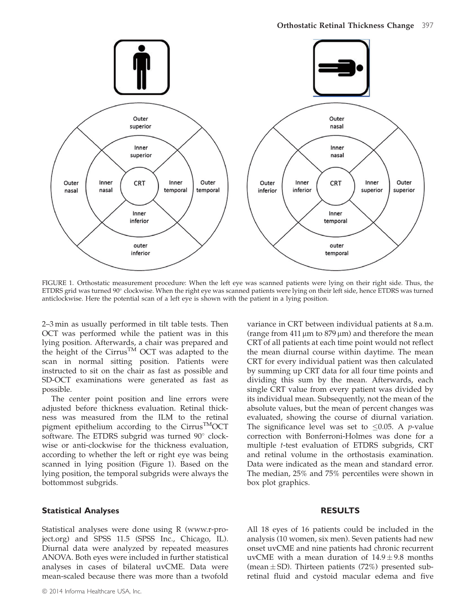

FIGURE 1. Orthostatic measurement procedure: When the left eye was scanned patients were lying on their right side. Thus, the ETDRS grid was turned 90° clockwise. When the right eye was scanned patients were lying on their left side, hence ETDRS was turned anticlockwise. Here the potential scan of a left eye is shown with the patient in a lying position.

2–3 min as usually performed in tilt table tests. Then OCT was performed while the patient was in this lying position. Afterwards, a chair was prepared and the height of the Cirrus™ OCT was adapted to the scan in normal sitting position. Patients were instructed to sit on the chair as fast as possible and SD-OCT examinations were generated as fast as possible.

The center point position and line errors were adjusted before thickness evaluation. Retinal thickness was measured from the ILM to the retinal pigment epithelium according to the Cirrus<sup>TM</sup>OCT software. The ETDRS subgrid was turned  $90^\circ$  clockwise or anti-clockwise for the thickness evaluation, according to whether the left or right eye was being scanned in lying position (Figure 1). Based on the lying position, the temporal subgrids were always the bottommost subgrids.

## Statistical Analyses

Statistical analyses were done using R (www.r-project.org) and SPSS 11.5 (SPSS Inc., Chicago, IL). Diurnal data were analyzed by repeated measures ANOVA. Both eyes were included in further statistical analyses in cases of bilateral uvCME. Data were mean-scaled because there was more than a twofold

variance in CRT between individual patients at 8 a.m. (range from  $411 \mu m$  to  $879 \mu m$ ) and therefore the mean CRT of all patients at each time point would not reflect the mean diurnal course within daytime. The mean CRT for every individual patient was then calculated by summing up CRT data for all four time points and dividing this sum by the mean. Afterwards, each single CRT value from every patient was divided by its individual mean. Subsequently, not the mean of the absolute values, but the mean of percent changes was evaluated, showing the course of diurnal variation. The significance level was set to  $\leq 0.05$ . A p-value correction with Bonferroni-Holmes was done for a multiple t-test evaluation of ETDRS subgrids, CRT and retinal volume in the orthostasis examination. Data were indicated as the mean and standard error. The median, 25% and 75% percentiles were shown in box plot graphics.

#### RESULTS

All 18 eyes of 16 patients could be included in the analysis (10 women, six men). Seven patients had new onset uvCME and nine patients had chronic recurrent uvCME with a mean duration of  $14.9 \pm 9.8$  months (mean  $\pm$  SD). Thirteen patients (72%) presented subretinal fluid and cystoid macular edema and five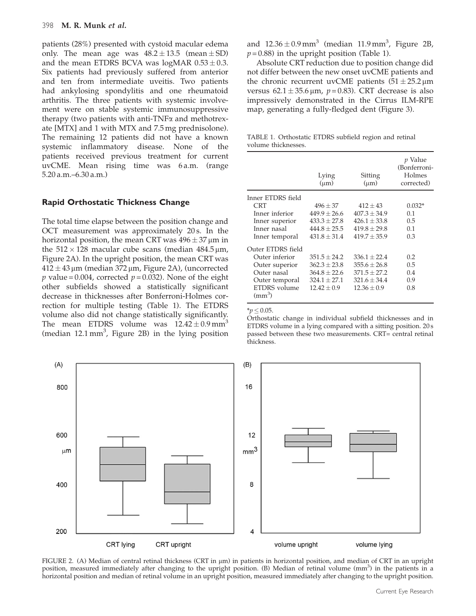patients (28%) presented with cystoid macular edema only. The mean age was  $48.2 \pm 13.5$  (mean $\pm$ SD) and the mean ETDRS BCVA was logMAR 0.53  $\pm$  0.3. Six patients had previously suffered from anterior and ten from intermediate uveitis. Two patients had ankylosing spondylitis and one rheumatoid arthritis. The three patients with systemic involvement were on stable systemic immunosuppressive therapy (two patients with anti- $TNF\alpha$  and methotrexate [MTX] and 1 with MTX and 7.5 mg prednisolone). The remaining 12 patients did not have a known systemic inflammatory disease. None of the patients received previous treatment for current uvCME. Mean rising time was 6 a.m. (range 5.20 a.m.–6.30 a.m.)

## Rapid Orthostatic Thickness Change

The total time elapse between the position change and OCT measurement was approximately 20 s. In the horizontal position, the mean CRT was 496  $\pm$  37 µm in the  $512 \times 128$  macular cube scans (median 484.5 µm, Figure 2A). In the upright position, the mean CRT was  $412 \pm 43$  µm (median 372 µm, Figure 2A), (uncorrected *p* value = 0.004, corrected  $p = 0.032$ ). None of the eight other subfields showed a statistically significant decrease in thicknesses after Bonferroni-Holmes correction for multiple testing (Table 1). The ETDRS volume also did not change statistically significantly. The mean ETDRS volume was  $12.42 \pm 0.9 \text{ mm}^3$ (median  $12.1 \text{ mm}^3$ , Figure 2B) in the lying position

and  $12.36 \pm 0.9$  mm $^3$  (median  $11.9$  mm $^3$ , Figure 2B,  $p = 0.88$ ) in the upright position (Table 1).

Absolute CRT reduction due to position change did not differ between the new onset uvCME patients and the chronic recurrent uvCME patients  $(51 \pm 25.2 \,\mathrm{\upmu m})$ versus  $62.1 \pm 35.6 \,\mu \text{m}$ ,  $p = 0.83$ ). CRT decrease is also impressively demonstrated in the Cirrus ILM-RPE map, generating a fully-fledged dent ([Figure 3](#page-5-0)).

TABLE 1. Orthostatic ETDRS subfield region and retinal volume thicknesses.

|                              | Lying<br>$(\mu m)$ | Sitting<br>$(\mu m)$ | <i>p</i> Value<br>(Bonferroni-<br>Holmes<br>corrected) |
|------------------------------|--------------------|----------------------|--------------------------------------------------------|
| Inner ETDRS field            |                    |                      |                                                        |
| <b>CRT</b>                   | $496 \pm 37$       | $412 + 43$           | $0.032*$                                               |
| Inner inferior               | $449.9 \pm 26.6$   | $407.3 \pm 34.9$     | 0.1                                                    |
| Inner superior               | $433.3 \pm 27.8$   | $426.1 + 33.8$       | 0.5                                                    |
| Inner nasal                  | $444.8 + 25.5$     | $419.8 + 29.8$       | 0.1                                                    |
| Inner temporal               | $431.8 + 31.4$     | $419.7 + 35.9$       | 0.3                                                    |
| Outer ETDRS field            |                    |                      |                                                        |
| Outer inferior               | $351.5 \pm 24.2$   | $336.1 + 22.4$       | 0.2                                                    |
| Outer superior               | $362.3 \pm 23.8$   | $355.6 \pm 26.8$     | 0.5                                                    |
| Outer nasal                  | $364.8 \pm 22.6$   | $371.5 \pm 27.2$     | 0.4                                                    |
| Outer temporal               | $324.1 + 27.1$     | $321.6 + 34.4$       | 0.9                                                    |
| ETDRS volume<br>$\rm (mm^3)$ | $12.42 + 0.9$      | $12.36 + 0.9$        | 0.8                                                    |

#### $*n < 0.05$ .

Orthostatic change in individual subfield thicknesses and in ETDRS volume in a lying compared with a sitting position. 20 s passed between these two measurements. CRT= central retinal thickness.



FIGURE 2. (A) Median of central retinal thickness (CRT in  $\mu$ m) in patients in horizontal position, and median of CRT in an upright position, measured immediately after changing to the upright position. (B) Median of retinal volume (mm<sup>3</sup>) in the patients in a horizontal position and median of retinal volume in an upright position, measured immediately after changing to the upright position.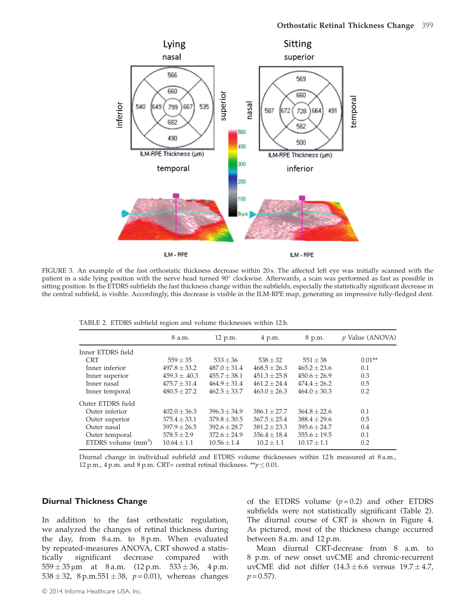<span id="page-5-0"></span>

FIGURE 3. An example of the fast orthostatic thickness decrease within 20s. The affected left eye was initially scanned with the patient in a side lying position with the nerve head turned 90° clockwise. Afterwards, a scan was performed as fast as possible in sitting position. In the ETDRS subfields the fast thickness change within the subfields, especially the statistically significant decrease in the central subfield, is visible. Accordingly, this decrease is visible in the ILM-RPE map, generating an impressive fully-fledged dent.

TABLE 2. ETDRS subfield region and volume thicknesses within 12 h.

| 8 a.m.            | 12 p.m.          | 4 p.m.           | 8 p.m.           | p Value (ANOVA) |
|-------------------|------------------|------------------|------------------|-----------------|
|                   |                  |                  |                  |                 |
| $559 \pm 35$      | $533 \pm 36$     | $538 \pm 32$     | $551 \pm 38$     | $0.01**$        |
| $497.8 \pm 33.2$  | $487.0 \pm 31.4$ | $468.5 \pm 26.3$ | $465.2 \pm 23.6$ | 0.1             |
| $459.3 \pm .40.3$ | $455.7 \pm 38.1$ | $451.3 \pm 25.8$ | $450.6 \pm 26.9$ | 0.3             |
| $475.7 \pm 31.4$  | $464.9 + 31.4$   | $461.2 + 24.4$   | $474.4 + 26.2$   | 0.5             |
| $480.5 \pm 27.2$  | $462.5 \pm 33.7$ | $463.0 + 26.3$   | $464.0 \pm 30.3$ | 0.2             |
|                   |                  |                  |                  |                 |
| $402.0 \pm 36.3$  | $396.3 + 34.9$   | $386.1 \pm 27.7$ | $364.8 \pm 22.6$ | 0.1             |
| $375.4 \pm 33.1$  | $379.8 \pm 30.5$ | $367.5 \pm 25.4$ | $388.4 \pm 29.6$ | 0.5             |
| $397.9 \pm 26.5$  | $392.6 \pm 28.7$ | $381.2 \pm 23.3$ | $395.6 \pm 24.7$ | 0.4             |
| $378.5 \pm 2.9$   | $372.6 + 24.9$   | $356.4 + 18.4$   | $355.6 \pm 19.5$ | 0.1             |
| $10.64 \pm 1.1$   | $10.56 \pm 1.4$  | $10.2 \pm 1.1$   | $10.17 \pm 1.1$  | 0.2             |
|                   |                  |                  |                  |                 |

Diurnal change in individual subfield and ETDRS volume thicknesses within 12 h measured at 8 a.m., 12 p.m., 4 p.m. and 8 p.m. CRT= central retinal thickness. \*\* $p \le 0.01$ .

## Diurnal Thickness Change

In addition to the fast orthostatic regulation, we analyzed the changes of retinal thickness during the day, from 8 a.m. to 8 p.m. When evaluated by repeated-measures ANOVA, CRT showed a statistically significant decrease compared with  $559 \pm 35\,\upmu$ m at 8 a.m. (12 p.m. 533  $\pm$ 4 p.m. 538  $\pm$  32, 8 p.m.551  $\pm$  38, p = 0.01), whereas changes

of the ETDRS volume  $(p=0.2)$  and other ETDRS subfields were not statistically significant (Table 2). The diurnal course of CRT is shown in [Figure 4](#page-6-0). As pictured, most of the thickness change occurred between 8 a.m. and 12 p.m.

Mean diurnal CRT-decrease from 8 a.m. to 8 p.m. of new onset uvCME and chronic-recurrent uvCME did not differ (14.3 $\pm$ 6.6 versus 19.7 $\pm$ 4.7,  $p = 0.57$ ).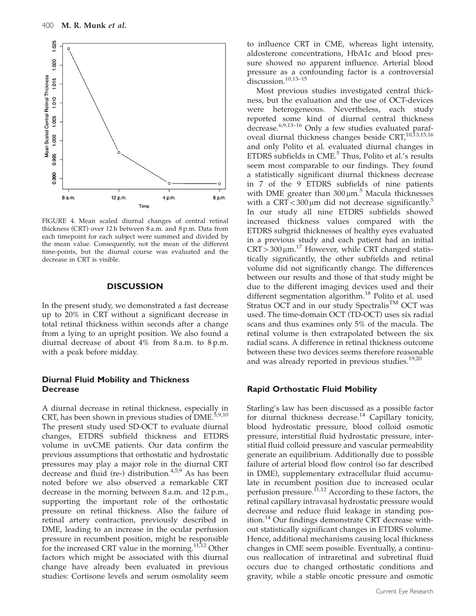<span id="page-6-0"></span>

FIGURE 4. Mean scaled diurnal changes of central retinal thickness (CRT) over 12 h between 8 a.m. and 8 p.m. Data from each timepoint for each subject were summed and divided by the mean value. Consequently, not the mean of the different time-points, but the diurnal course was evaluated and the decrease in CRT is visible.

## **DISCUSSION**

In the present study, we demonstrated a fast decrease up to 20% in CRT without a significant decrease in total retinal thickness within seconds after a change from a lying to an upright position. We also found a diurnal decrease of about 4% from 8 a.m. to 8 p.m. with a peak before midday.

## Diurnal Fluid Mobility and Thickness **Decrease**

A diurnal decrease in retinal thickness, especially in CRT, has been shown in previous studies of  $DME$ .<sup>[5,9](#page-7-0)[,10](#page-8-0)</sup> The present study used SD-OCT to evaluate diurnal changes, ETDRS subfield thickness and ETDRS volume in uvCME patients. Our data confirm the previous assumptions that orthostatic and hydrostatic pressures may play a major role in the diurnal CRT decrease and fluid (re-) distribution. $4,5,9$  As has been noted before we also observed a remarkable CRT decrease in the morning between 8 a.m. and 12 p.m., supporting the important role of the orthostatic pressure on retinal thickness. Also the failure of retinal artery contraction, previously described in DME, leading to an increase in the ocular perfusion pressure in recumbent position, might be responsible for the increased CRT value in the morning.<sup>[11,12](#page-8-0)</sup> Other factors which might be associated with this diurnal change have already been evaluated in previous studies: Cortisone levels and serum osmolality seem

to influence CRT in CME, whereas light intensity, aldosterone concentrations, HbA1c and blood pressure showed no apparent influence. Arterial blood pressure as a confounding factor is a controversial discussion.<sup>[10](#page-8-0),13-15</sup>

Most previous studies investigated central thickness, but the evaluation and the use of OCT-devices were heterogeneous. Nevertheless, each study reported some kind of diurnal central thickness decrease.[6,9](#page-7-0)[,13–16](#page-8-0) Only a few studies evaluated paraf-oveal diurnal thickness changes beside CRT,<sup>[10,13,15,16](#page-8-0)</sup> and only Polito et al. evaluated diurnal changes in ETDRS subfields in  $CME$ <sup>[5](#page-7-0)</sup>. Thus, Polito et al.'s results seem most comparable to our findings. They found a statistically significant diurnal thickness decrease in 7 of the 9 ETDRS subfields of nine patients with DME greater than  $300 \,\mu m$ <sup>[5](#page-7-0)</sup> Macula thicknesses with a CRT $<$ 300 µm did not decrease significantly.<sup>[5](#page-7-0)</sup> In our study all nine ETDRS subfields showed increased thickness values compared with the ETDRS subgrid thicknesses of healthy eyes evaluated in a previous study and each patient had an initial  $CRT > 300 \mu m$ .<sup>[17](#page-8-0)</sup> However, while CRT changed statistically significantly, the other subfields and retinal volume did not significantly change. The differences between our results and those of that study might be due to the different imaging devices used and their different segmentation algorithm.<sup>[18](#page-8-0)</sup> Polito et al. used Stratus OCT and in our study Spectralis<sup>TM</sup> OCT was used. The time-domain OCT (TD-OCT) uses six radial scans and thus examines only 5% of the macula. The retinal volume is then extrapolated between the six radial scans. A difference in retinal thickness outcome between these two devices seems therefore reasonable and was already reported in previous studies.<sup>[19,20](#page-8-0)</sup>

#### Rapid Orthostatic Fluid Mobility

Starling's law has been discussed as a possible factor for diurnal thickness decrease.<sup>[14](#page-8-0)</sup> Capillary tonicity, blood hydrostatic pressure, blood colloid osmotic pressure, interstitial fluid hydrostatic pressure, interstitial fluid colloid pressure and vascular permeability generate an equilibrium. Additionally due to possible failure of arterial blood flow control (so far described in DME), supplementary extracellular fluid accumulate in recumbent position due to increased ocular perfusion pressure.<sup>11,12</sup> According to these factors, the retinal capillary intravasal hydrostatic pressure would decrease and reduce fluid leakage in standing pos-ition.<sup>[14](#page-8-0)</sup> Our findings demonstrate CRT decrease without statistically significant changes in ETDRS volume. Hence, additional mechanisms causing local thickness changes in CME seem possible. Eventually, a continuous reallocation of intraretinal and subretinal fluid occurs due to changed orthostatic conditions and gravity, while a stable oncotic pressure and osmotic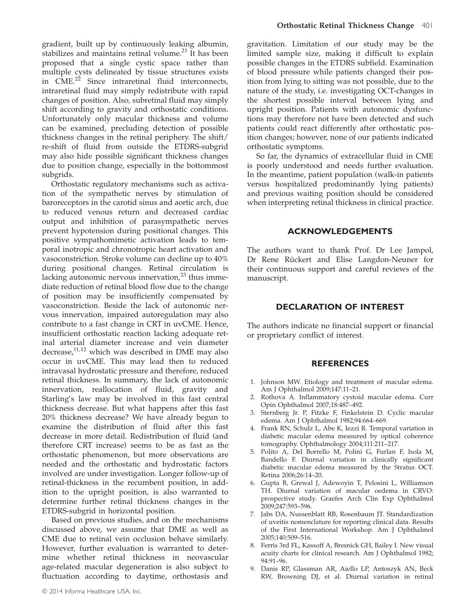<span id="page-7-0"></span>gradient, built up by continuously leaking albumin, stabilizes and maintains retinal volume.<sup>[21](#page-8-0)</sup> It has been proposed that a single cystic space rather than multiple cysts delineated by tissue structures exists in CME.<sup>[22](#page-8-0)</sup> Since intraretinal fluid interconnects, intraretinal fluid may simply redistribute with rapid changes of position. Also, subretinal fluid may simply shift according to gravity and orthostatic conditions. Unfortunately only macular thickness and volume can be examined, precluding detection of possible thickness changes in the retinal periphery. The shift/ re-shift of fluid from outside the ETDRS-subgrid may also hide possible significant thickness changes due to position change, especially in the bottommost subgrids.

Orthostatic regulatory mechanisms such as activation of the sympathetic nerves by stimulation of baroreceptors in the carotid sinus and aortic arch, due to reduced venous return and decreased cardiac output and inhibition of parasympathetic nerves prevent hypotension during positional changes. This positive sympathomimetic activation leads to temporal inotropic and chronotropic heart activation and vasoconstriction. Stroke volume can decline up to 40% during positional changes. Retinal circulation is lacking autonomic nervous innervation, $^{23}$  $^{23}$  $^{23}$  thus immediate reduction of retinal blood flow due to the change of position may be insufficiently compensated by vasoconstriction. Beside the lack of autonomic nervous innervation, impaired autoregulation may also contribute to a fast change in CRT in uvCME. Hence, insufficient orthostatic reaction lacking adequate retinal arterial diameter increase and vein diameter decrease,<sup>11,12</sup> which was described in DME may also occur in uvCME. This may lead then to reduced intravasal hydrostatic pressure and therefore, reduced retinal thickness. In summary, the lack of autonomic innervation, reallocation of fluid, gravity and Starling's law may be involved in this fast central thickness decrease. But what happens after this fast 20% thickness decrease? We have already begun to examine the distribution of fluid after this fast decrease in more detail. Redistribution of fluid (and therefore CRT increase) seems to be as fast as the orthostatic phenomenon, but more observations are needed and the orthostatic and hydrostatic factors involved are under investigation. Longer follow-up of retinal-thickness in the recumbent position, in addition to the upright position, is also warranted to determine further retinal thickness changes in the ETDRS-subgrid in horizontal position.

Based on previous studies, and on the mechanisms discussed above, we assume that DME as well as CME due to retinal vein occlusion behave similarly. However, further evaluation is warranted to determine whether retinal thickness in neovascular age-related macular degeneration is also subject to fluctuation according to daytime, orthostasis and

gravitation. Limitation of our study may be the limited sample size, making it difficult to explain possible changes in the ETDRS subfield. Examination of blood pressure while patients changed their position from lying to sitting was not possible, due to the nature of the study, i.e. investigating OCT-changes in the shortest possible interval between lying and upright position. Patients with autonomic dysfunctions may therefore not have been detected and such patients could react differently after orthostatic position changes; however, none of our patients indicated orthostatic symptoms.

So far, the dynamics of extracellular fluid in CME is poorly understood and needs further evaluation. In the meantime, patient population (walk-in patients versus hospitalized predominantly lying patients) and previous waiting position should be considered when interpreting retinal thickness in clinical practice.

## ACKNOWLEDGEMENTS

The authors want to thank Prof. Dr Lee Jampol, Dr Rene Rückert and Elise Langdon-Neuner for their continuous support and careful reviews of the manuscript.

## DECLARATION OF INTEREST

The authors indicate no financial support or financial or proprietary conflict of interest.

## **REFERENCES**

- 1. Johnson MW. Etiology and treatment of macular edema. Am J Ophthalmol 2009;147:11–21.
- 2. Rothova A. Inflammatory cystoid macular edema. Curr Opin Ophthalmol 2007;18:487–492.
- 3. Sternberg Jr. P, Fitzke F, Finkelstein D. Cyclic macular edema. Am J Ophthalmol 1982;94:664–669.
- 4. Frank RN, Schulz L, Abe K, Iezzi R. Temporal variation in diabetic macular edema measured by optical coherence tomography. Ophthalmology 2004;111:211–217.
- 5. Polito A, Del Borrello M, Polini G, Furlan F, Isola M, Bandello F. Diurnal variation in clinically significant diabetic macular edema measured by the Stratus OCT. Retina 2006;26:14–20.
- 6. Gupta B, Grewal J, Adewoyin T, Pelosini L, Williamson TH. Diurnal variation of macular oedema in CRVO: prospective study. Graefes Arch Clin Exp Ophthalmol 2009;247:593–596.
- 7. Jabs DA, Nussenblatt RB, Rosenbaum JT. Standardization of uveitis nomenclature for reporting clinical data. Results of the First International Workshop. Am J Ophthalmol 2005;140:509–516.
- 8. Ferris 3rd FL, Kassoff A, Bresnick GH, Bailey I. New visual acuity charts for clinical research. Am J Ophthalmol 1982; 94:91–96.
- 9. Danis RP, Glassman AR, Aiello LP, Antoszyk AN, Beck RW, Browning DJ, et al. Diurnal variation in retinal